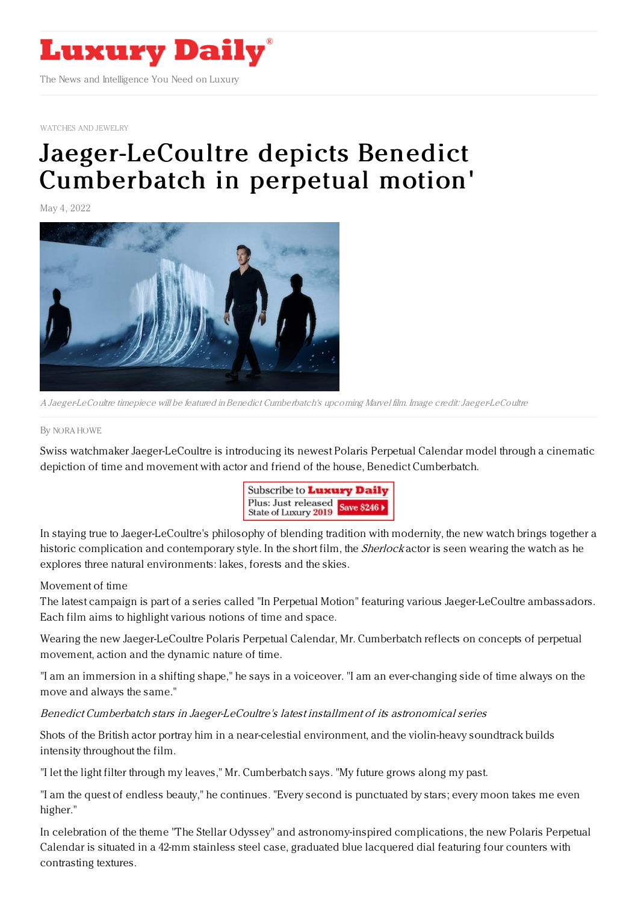

[WATCHES](https://www.luxurydaily.com/category/sectors/jewelry/) AND JEWELRY

# [Jaeger-LeCoultre](https://www.luxurydaily.com/?p=349557) depicts Benedict Cumberbatch in perpetual motion'

May 4, 2022



A Jaeger-LeCoultre timepiece will be featured inBenedict Cumberbatch's upcoming Marvel film. Image credit:Jaeger-LeCoultre

#### By NORA [HOWE](file:///author/nora-howe)

Swiss watchmaker Jaeger-LeCoultre is introducing its newest Polaris Perpetual Calendar model through a cinematic depiction of time and movement with actor and friend of the house, Benedict Cumberbatch.



In staying true to Jaeger-LeCoultre's philosophy of blending tradition with modernity, the new watch brings together a historic complication and contemporary style. In the short film, the *Sherlock* actor is seen wearing the watch as he explores three natural environments: lakes, forests and the skies.

### Movement of time

The latest campaign is part of a series called "In Perpetual Motion" featuring various Jaeger-LeCoultre ambassadors. Each film aims to highlight various notions of time and space.

Wearing the new Jaeger-LeCoultre Polaris Perpetual Calendar, Mr. Cumberbatch reflects on concepts of perpetual movement, action and the dynamic nature of time.

"I am an immersion in a shifting shape," he says in a voiceover. "I am an ever-changing side of time always on the move and always the same."

### Benedict Cumberbatch stars in Jaeger-LeCoultre's latest installment of its astronomical series

Shots of the British actor portray him in a near-celestial environment, and the violin-heavy soundtrack builds intensity throughout the film.

"I let the light filter through my leaves," Mr. Cumberbatch says. "My future grows along my past.

"I am the quest of endless beauty," he continues. "Every second is punctuated by stars; every moon takes me even higher."

In celebration of the theme "The Stellar Odyssey" and astronomy-inspired complications, the new Polaris Perpetual Calendar is situated in a 42-mm stainless steel case, graduated blue lacquered dial featuring four counters with contrasting textures.